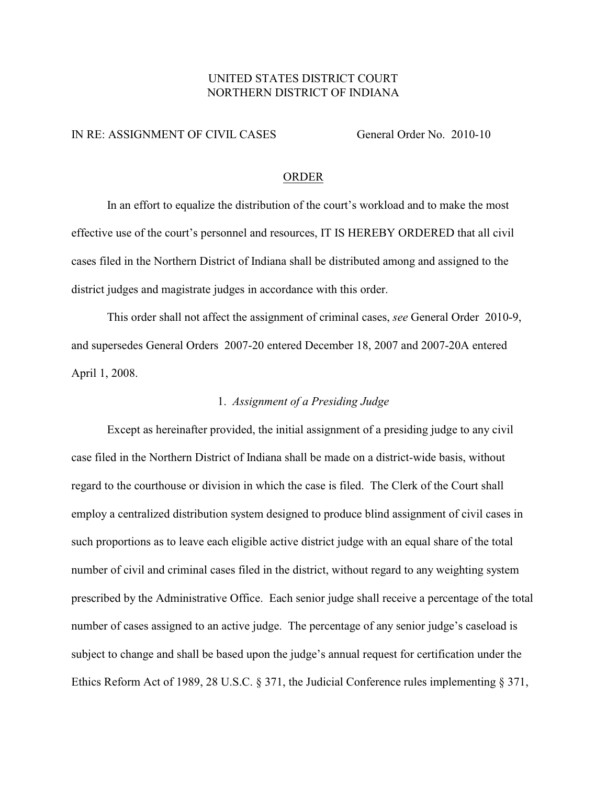# UNITED STATES DISTRICT COURT NORTHERN DISTRICT OF INDIANA

#### IN RE: ASSIGNMENT OF CIVIL CASES General Order No. 2010-10

### ORDER

In an effort to equalize the distribution of the court's workload and to make the most effective use of the court's personnel and resources, IT IS HEREBY ORDERED that all civil cases filed in the Northern District of Indiana shall be distributed among and assigned to the district judges and magistrate judges in accordance with this order.

This order shall not affect the assignment of criminal cases, *see* General Order 2010-9, and supersedes General Orders 2007-20 entered December 18, 2007 and 2007-20A entered April 1, 2008.

# 1. *Assignment of a Presiding Judge*

Except as hereinafter provided, the initial assignment of a presiding judge to any civil case filed in the Northern District of Indiana shall be made on a district-wide basis, without regard to the courthouse or division in which the case is filed. The Clerk of the Court shall employ a centralized distribution system designed to produce blind assignment of civil cases in such proportions as to leave each eligible active district judge with an equal share of the total number of civil and criminal cases filed in the district, without regard to any weighting system prescribed by the Administrative Office. Each senior judge shall receive a percentage of the total number of cases assigned to an active judge. The percentage of any senior judge's caseload is subject to change and shall be based upon the judge's annual request for certification under the Ethics Reform Act of 1989, 28 U.S.C. § 371, the Judicial Conference rules implementing § 371,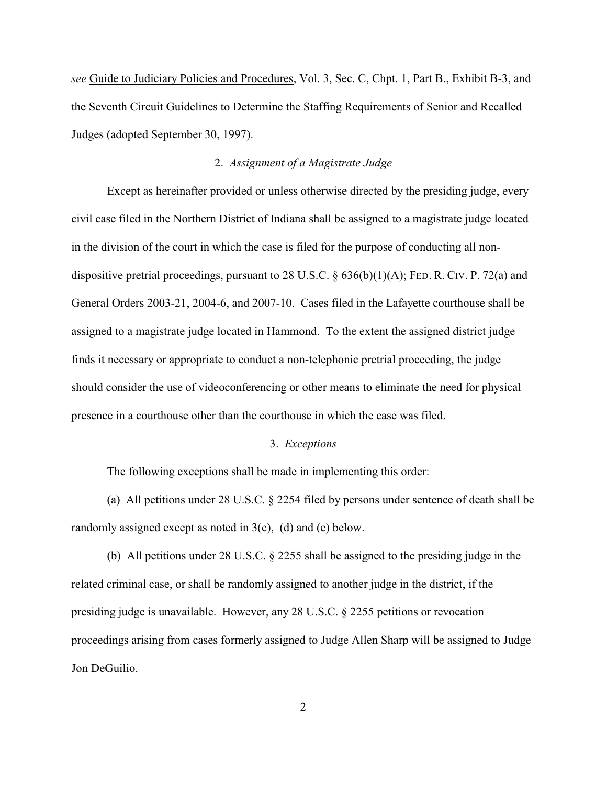*see* Guide to Judiciary Policies and Procedures, Vol. 3, Sec. C, Chpt. 1, Part B., Exhibit B-3, and the Seventh Circuit Guidelines to Determine the Staffing Requirements of Senior and Recalled Judges (adopted September 30, 1997).

### 2. *Assignment of a Magistrate Judge*

Except as hereinafter provided or unless otherwise directed by the presiding judge, every civil case filed in the Northern District of Indiana shall be assigned to a magistrate judge located in the division of the court in which the case is filed for the purpose of conducting all nondispositive pretrial proceedings, pursuant to 28 U.S.C. § 636(b)(1)(A); FED. R. CIV. P. 72(a) and General Orders 2003-21, 2004-6, and 2007-10. Cases filed in the Lafayette courthouse shall be assigned to a magistrate judge located in Hammond. To the extent the assigned district judge finds it necessary or appropriate to conduct a non-telephonic pretrial proceeding, the judge should consider the use of videoconferencing or other means to eliminate the need for physical presence in a courthouse other than the courthouse in which the case was filed.

### 3. *Exceptions*

The following exceptions shall be made in implementing this order:

(a) All petitions under 28 U.S.C. § 2254 filed by persons under sentence of death shall be randomly assigned except as noted in 3(c), (d) and (e) below.

(b) All petitions under 28 U.S.C. § 2255 shall be assigned to the presiding judge in the related criminal case, or shall be randomly assigned to another judge in the district, if the presiding judge is unavailable. However, any 28 U.S.C. § 2255 petitions or revocation proceedings arising from cases formerly assigned to Judge Allen Sharp will be assigned to Judge Jon DeGuilio.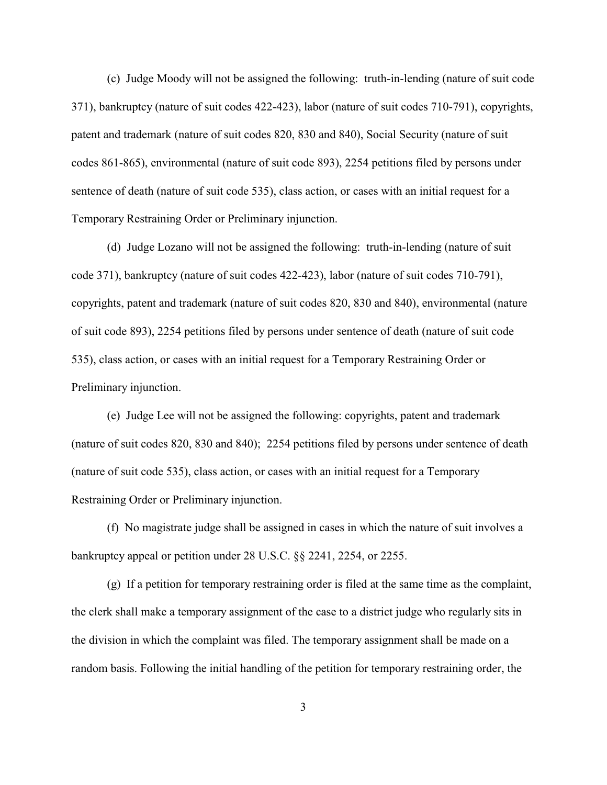(c) Judge Moody will not be assigned the following: truth-in-lending (nature of suit code 371), bankruptcy (nature of suit codes 422-423), labor (nature of suit codes 710-791), copyrights, patent and trademark (nature of suit codes 820, 830 and 840), Social Security (nature of suit codes 861-865), environmental (nature of suit code 893), 2254 petitions filed by persons under sentence of death (nature of suit code 535), class action, or cases with an initial request for a Temporary Restraining Order or Preliminary injunction.

(d) Judge Lozano will not be assigned the following: truth-in-lending (nature of suit code 371), bankruptcy (nature of suit codes 422-423), labor (nature of suit codes 710-791), copyrights, patent and trademark (nature of suit codes 820, 830 and 840), environmental (nature of suit code 893), 2254 petitions filed by persons under sentence of death (nature of suit code 535), class action, or cases with an initial request for a Temporary Restraining Order or Preliminary injunction.

(e) Judge Lee will not be assigned the following: copyrights, patent and trademark (nature of suit codes 820, 830 and 840); 2254 petitions filed by persons under sentence of death (nature of suit code 535), class action, or cases with an initial request for a Temporary Restraining Order or Preliminary injunction.

(f) No magistrate judge shall be assigned in cases in which the nature of suit involves a bankruptcy appeal or petition under 28 U.S.C. §§ 2241, 2254, or 2255.

(g) If a petition for temporary restraining order is filed at the same time as the complaint, the clerk shall make a temporary assignment of the case to a district judge who regularly sits in the division in which the complaint was filed. The temporary assignment shall be made on a random basis. Following the initial handling of the petition for temporary restraining order, the